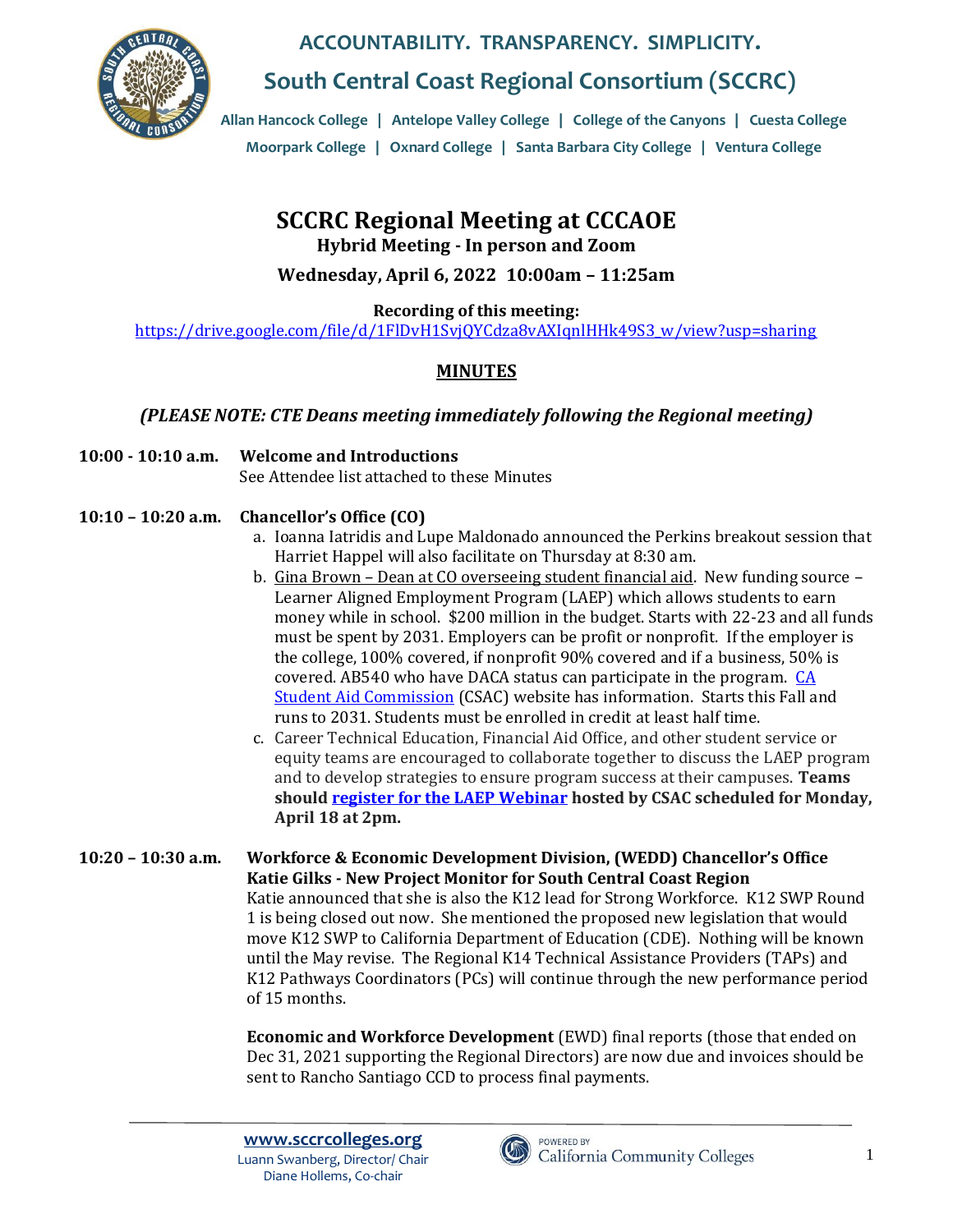

**South Central Coast Regional Consortium (SCCRC)**

**Allan Hancock College** | **Antelope Valley College** | **College of the Canyons** | **Cuesta College Moorpark College** | **Oxnard College** | **Santa Barbara City College** | **Ventura College**

# **SCCRC Regional Meeting at CCCAOE**

**• Santa Barbara City College Hybrid Meeting - In person and Zoom**

**Wednesday, April 6, 2022 10:00am – 11:25am**

**Recording of this meeting:**

[https://drive.google.com/file/d/1FlDvH1SvjQYCdza8vAXIqnlHHk49S3\\_w/view?usp=sharing](https://drive.google.com/file/d/1FlDvH1SvjQYCdza8vAXIqnlHHk49S3_w/view?usp=sharing)

### **MINUTES**

### *(PLEASE NOTE: CTE Deans meeting immediately following the Regional meeting)*

**10:00 - 10:10 a.m. Welcome and Introductions** See Attendee list attached to these Minutes

### **10:10 – 10:20 a.m. Chancellor's Office (CO)**

- a. Ioanna Iatridis and Lupe Maldonado announced the Perkins breakout session that Harriet Happel will also facilitate on Thursday at 8:30 am.
- b. Gina Brown Dean at CO overseeing student financial aid. New funding source Learner Aligned Employment Program (LAEP) which allows students to earn money while in school. \$200 million in the budget. Starts with 22-23 and all funds must be spent by 2031. Employers can be profit or nonprofit. If the employer is the college, 100% covered, if nonprofit 90% covered and if a business, 50% is covered. AB540 who have DACA status can participate in the program. [CA](http://www.csac.ca.gov/)  [Student Aid Commission](http://www.csac.ca.gov/) (CSAC) website has information. Starts this Fall and runs to 2031. Students must be enrolled in credit at least half time.
- c. Career Technical Education, Financial Aid Office, and other student service or equity teams are encouraged to collaborate together to discuss the LAEP program and to develop strategies to ensure program success at their campuses. **Teams should [register for the LAEP Webinar](https://csac-ca-gov.zoom.us/webinar/register/WN_67Qxkg74QXCyBnjofGaFIw) hosted by CSAC scheduled for Monday, April 18 at 2pm.**
- **10:20 – 10:30 a.m. Workforce & Economic Development Division, (WEDD) Chancellor's Office Katie Gilks - New Project Monitor for South Central Coast Region** Katie announced that she is also the K12 lead for Strong Workforce. K12 SWP Round 1 is being closed out now. She mentioned the proposed new legislation that would move K12 SWP to California Department of Education (CDE). Nothing will be known until the May revise. The Regional K14 Technical Assistance Providers (TAPs) and K12 Pathways Coordinators (PCs) will continue through the new performance period of 15 months.

**Economic and Workforce Development** (EWD) final reports (those that ended on Dec 31, 2021 supporting the Regional Directors) are now due and invoices should be sent to Rancho Santiago CCD to process final payments.

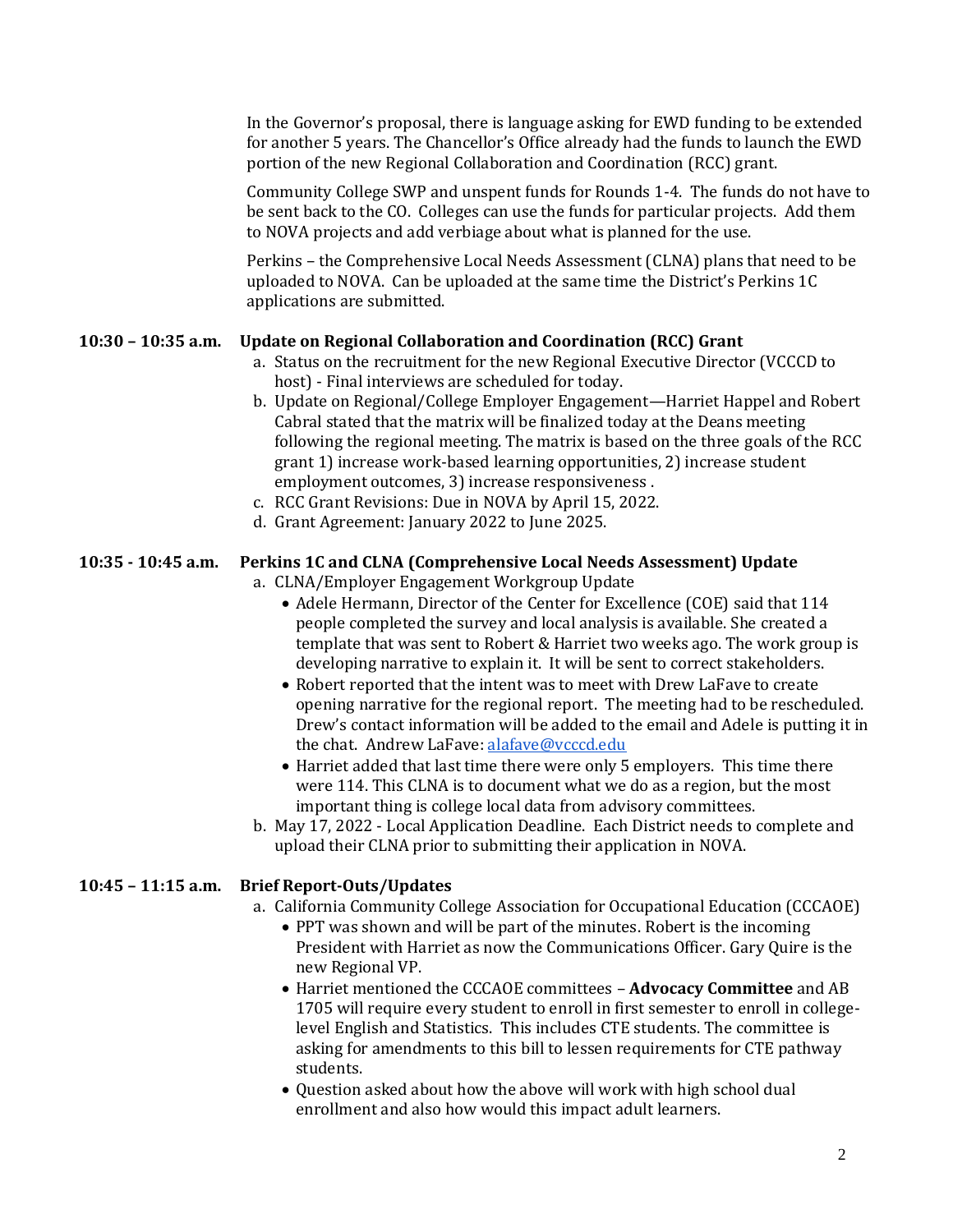In the Governor's proposal, there is language asking for EWD funding to be extended for another 5 years. The Chancellor's Office already had the funds to launch the EWD portion of the new Regional Collaboration and Coordination (RCC) grant.

Community College SWP and unspent funds for Rounds 1-4. The funds do not have to be sent back to the CO. Colleges can use the funds for particular projects. Add them to NOVA projects and add verbiage about what is planned for the use.

Perkins – the Comprehensive Local Needs Assessment (CLNA) plans that need to be uploaded to NOVA. Can be uploaded at the same time the District's Perkins 1C applications are submitted.

#### **10:30 – 10:35 a.m. Update on Regional Collaboration and Coordination (RCC) Grant**

- a. Status on the recruitment for the new Regional Executive Director (VCCCD to host) - Final interviews are scheduled for today.
- b. Update on Regional/College Employer Engagement—Harriet Happel and Robert Cabral stated that the matrix will be finalized today at the Deans meeting following the regional meeting. The matrix is based on the three goals of the RCC grant 1) increase work-based learning opportunities, 2) increase student employment outcomes, 3) increase responsiveness .
- c. RCC Grant Revisions: Due in NOVA by April 15, 2022.
- d. Grant Agreement: January 2022 to June 2025.

#### **10:35 - 10:45 a.m. Perkins 1C and CLNA (Comprehensive Local Needs Assessment) Update**

a. CLNA/Employer Engagement Workgroup Update

- Adele Hermann, Director of the Center for Excellence (COE) said that 114 people completed the survey and local analysis is available. She created a template that was sent to Robert & Harriet two weeks ago. The work group is developing narrative to explain it. It will be sent to correct stakeholders.
- Robert reported that the intent was to meet with Drew LaFave to create opening narrative for the regional report. The meeting had to be rescheduled. Drew's contact information will be added to the email and Adele is putting it in the chat. Andrew LaFave[: alafave@vcccd.edu](mailto:alafave@vcccd.edu)
- Harriet added that last time there were only 5 employers. This time there were 114. This CLNA is to document what we do as a region, but the most important thing is college local data from advisory committees.
- b. May 17, 2022 Local Application Deadline. Each District needs to complete and upload their CLNA prior to submitting their application in NOVA.

#### **10:45 – 11:15 a.m. Brief Report-Outs/Updates**

- a. California Community College Association for Occupational Education (CCCAOE)
	- PPT was shown and will be part of the minutes. Robert is the incoming President with Harriet as now the Communications Officer. Gary Quire is the new Regional VP.
	- Harriet mentioned the CCCAOE committees **Advocacy Committee** and AB 1705 will require every student to enroll in first semester to enroll in collegelevel English and Statistics. This includes CTE students. The committee is asking for amendments to this bill to lessen requirements for CTE pathway students.
	- Question asked about how the above will work with high school dual enrollment and also how would this impact adult learners.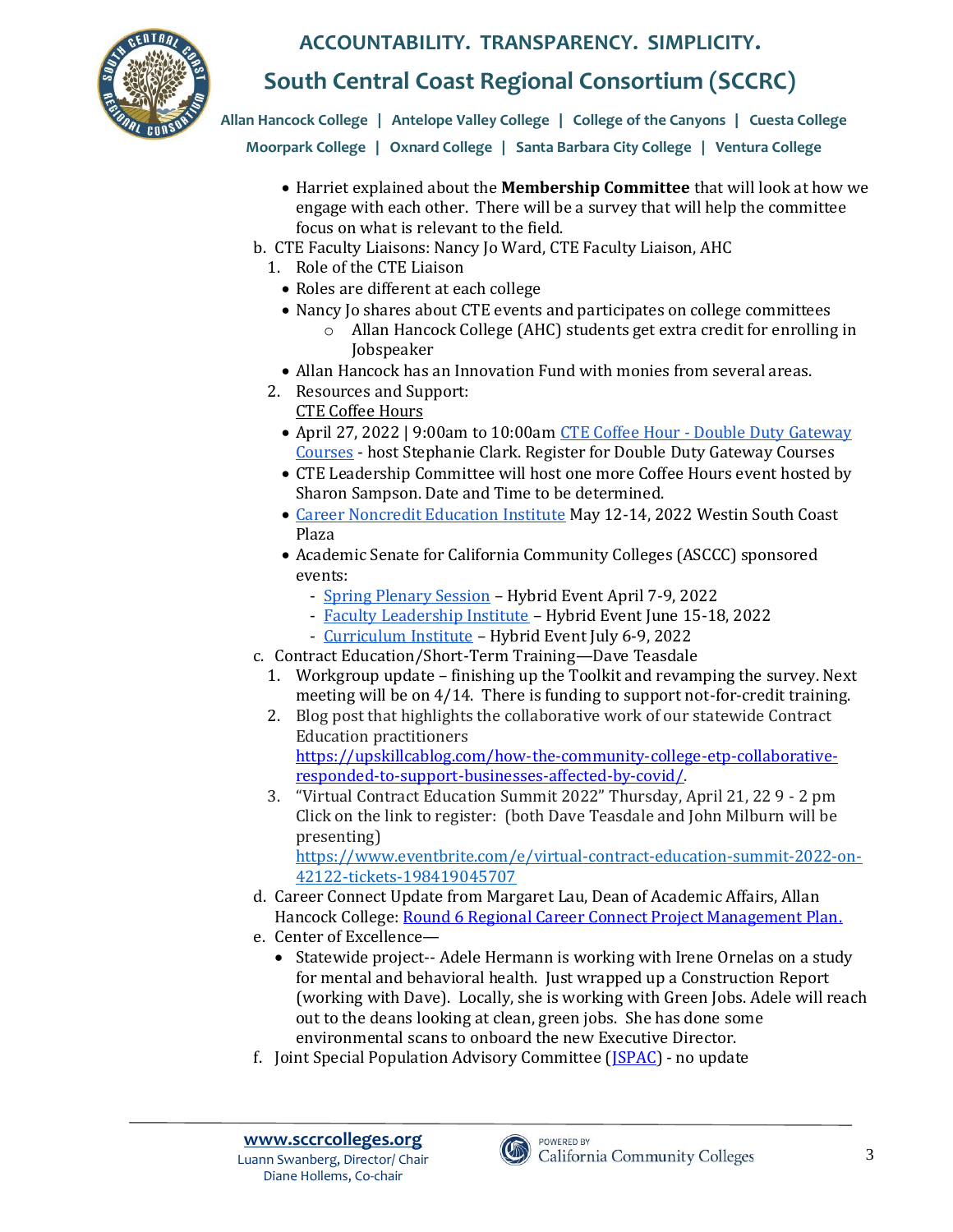

## **South Central Coast Regional Consortium (SCCRC)**

**Allan Hancock College** | **Antelope Valley College** | **College of the Canyons** | **Cuesta College Moorpark College** | **Oxnard College** | **Santa Barbara City College** | **Ventura College**

- Harriet explained about the **Membership Committee** that will look at how we engage with each other. There will be a survey that will help the committee focus on what is relevant to the field.
- b. CTE Faculty Liaisons: Nancy Jo Ward, CTE Faculty Liaison, AHC
	- 1. Role of the CTE Liaison
		- Roles are different at each college
		- Nancy Jo shares about CTE events and participates on college committees
			- o Allan Hancock College (AHC) students get extra credit for enrolling in Jobspeaker
	- Allan Hancock has an Innovation Fund with monies from several areas.
	- 2. Resources and Support:
		- CTE Coffee Hours
		- April 27, 2022 | 9:00am to 10:00am CTE Coffee Hour [Double Duty Gateway](https://us-east-2.protection.sophos.com/?d=zoom.us&u=aHR0cHM6Ly91czAyd2ViLnpvb20udXMvbWVldGluZy9yZWdpc3Rlci90WndzZC1HdnFqb3NFdHltXzNmM1E5WDRVMVRWZUJMbHgxWk4=&i=NWNhZjdhNmNjZDFmODAxNzdhYzFkYWJj&t=L3JaUk16bjJEQmtRMVBBZG1GaGRTRmNuOW0rTEFSa0dHU1JQcG56cENTYz0=&h=cedc0d87523b45ba8f00ac0e0928094b)  [Courses](https://us-east-2.protection.sophos.com/?d=zoom.us&u=aHR0cHM6Ly91czAyd2ViLnpvb20udXMvbWVldGluZy9yZWdpc3Rlci90WndzZC1HdnFqb3NFdHltXzNmM1E5WDRVMVRWZUJMbHgxWk4=&i=NWNhZjdhNmNjZDFmODAxNzdhYzFkYWJj&t=L3JaUk16bjJEQmtRMVBBZG1GaGRTRmNuOW0rTEFSa0dHU1JQcG56cENTYz0=&h=cedc0d87523b45ba8f00ac0e0928094b) - host Stephanie Clark. Register for Double Duty Gateway Courses
		- CTE Leadership Committee will host one more Coffee Hours event hosted by Sharon Sampson. Date and Time to be determined.
		- [Career Noncredit Education](https://us-east-2.protection.sophos.com/?d=asccc.org&u=aHR0cHM6Ly93d3cuYXNjY2Mub3JnL2V2ZW50cy8yMDIyLTA1LTEyLTE2MDAwMC0yMDIyLTA1LTE0LTIyMDAwMC8yMDIyLWNhcmVlci1hbmQtbm9uY3JlZGl0LWVkdWNhdGlvbi1pbnN0aXR1dGUtaHlicmlk&i=NWNhZjdhNmNjZDFmODAxNzdhYzFkYWJj&t=Zm1xR1QwYk40R1lwZHd4aG45S0ZSUGpySXcyV3VCVVFPemg0dktPdEFIOD0=&h=cedc0d87523b45ba8f00ac0e0928094b) Institute May 12-14, 2022 Westin South Coast Plaza
		- Academic Senate for California Community Colleges (ASCCC) sponsored events:
			- [Spring Plenary Session](https://us-east-2.protection.sophos.com/?d=asccc.org&u=aHR0cHM6Ly93d3cuYXNjY2Mub3JnL2V2ZW50cy9hcHJpbC03LTIwMjItOTAwYW0vMjAyMi1zcHJpbmctcGxlbmFyeS1zZXNzaW9uLWh5YnJpZC1ldmVudA==&i=NWNhZjdhNmNjZDFmODAxNzdhYzFkYWJj&t=OVkwZnB3KzlZb2QyR2NBb01nMXI5LzB5eWc5T0hqSG9weWJ1OUVlcXQrZz0=&h=cedc0d87523b45ba8f00ac0e0928094b) Hybrid Event April 7-9, 2022
			- [Faculty Leadership Institute](https://us-east-2.protection.sophos.com/?d=asccc.org&u=aHR0cHM6Ly93d3cuYXNjY2Mub3JnL2V2ZW50cy8yMDIyLTA2LTE2LTE2MDAwMC0yMDIyLTA2LTE4LTIyMDAwMC8yMDIyLWZhY3VsdHktbGVhZGVyc2hpcC1pbnN0aXR1dGUtaHlicmlkLWV2ZW50LXN1YmplY3Q=&i=NWNhZjdhNmNjZDFmODAxNzdhYzFkYWJj&t=R1IwWFdmanFyMHdibjAyTEhRYktadS9MdmNxNzFLTHlTNE5SckxVVWxFVT0=&h=cedc0d87523b45ba8f00ac0e0928094b) Hybrid Event June 15-18, 2022
			- [Curriculum Institute](https://us-east-2.protection.sophos.com/?d=asccc.org&u=aHR0cHM6Ly93d3cuYXNjY2Mub3JnL2V2ZW50cy8yMDIyLTA3LTA2LTE5MDAwMC0yMDIyLTA3LTA5LTIxMDAwMC8yMDIyLWN1cnJpY3VsdW0taW5zdGl0dXRlLWh5YnJpZC1ldmVudC1zdWJqZWN0LWNoYW5nZQ==&i=NWNhZjdhNmNjZDFmODAxNzdhYzFkYWJj&t=OWlrdVJYWHJxYXcvK24rUnhHRld0Uis0L1VLWXBFdXVoNk5tOFNqVUl1RT0=&h=cedc0d87523b45ba8f00ac0e0928094b) Hybrid Event July 6-9, 2022
	- c. Contract Education/Short-Term Training—Dave Teasdale
		- 1. Workgroup update finishing up the Toolkit and revamping the survey. Next meeting will be on 4/14. There is funding to support not-for-credit training.
		- 2. Blog post that highlights the collaborative work of our statewide Contract Education practitioners [https://upskillcablog.com/how-the-community-college-etp-collaborative-](https://upskillcablog.com/how-the-community-college-etp-collaborative-responded-to-support-businesses-affected-by-covid/)

[responded-to-support-businesses-affected-by-covid/.](https://upskillcablog.com/how-the-community-college-etp-collaborative-responded-to-support-businesses-affected-by-covid/) 

3. "Virtual Contract Education Summit 2022" Thursday, April 21, 22 9 - 2 pm Click on the link to register: (both Dave Teasdale and John Milburn will be presenting) [https://www.eventbrite.com/e/virtual-contract-education-summit-2022-on-](https://nam12.safelinks.protection.outlook.com/?url=https%3A%2F%2Fwww.eventbrite.com%2Fe%2Fvirtual-contract-education-summit-2022-on-42122-tickets-198419045707&data=04%7C01%7Cfbriley%40MTSAC.EDU%7Cd92389a952684c2ce1ca08da06a675db%7Ccc4d4bf20a9e4240aedea7d1d688f935%7C0%7C0%7C637829609869470803%7CUnknown%7CTWFpbGZsb3d8eyJWIjoiMC4wLjAwMDAiLCJQIjoiV2luMzIiLCJBTiI6Ik1haWwiLCJXVCI6Mn0%3D%7C3000&sdata=qPk%2BzQngGUE4KbQUYkuPhXdCthJ2s5Rr3%2FBA5WE%2FP8E%3D&reserved=0)

[42122-tickets-198419045707](https://nam12.safelinks.protection.outlook.com/?url=https%3A%2F%2Fwww.eventbrite.com%2Fe%2Fvirtual-contract-education-summit-2022-on-42122-tickets-198419045707&data=04%7C01%7Cfbriley%40MTSAC.EDU%7Cd92389a952684c2ce1ca08da06a675db%7Ccc4d4bf20a9e4240aedea7d1d688f935%7C0%7C0%7C637829609869470803%7CUnknown%7CTWFpbGZsb3d8eyJWIjoiMC4wLjAwMDAiLCJQIjoiV2luMzIiLCJBTiI6Ik1haWwiLCJXVCI6Mn0%3D%7C3000&sdata=qPk%2BzQngGUE4KbQUYkuPhXdCthJ2s5Rr3%2FBA5WE%2FP8E%3D&reserved=0)

- d. Career Connect Update from Margaret Lau, Dean of Academic Affairs, Allan Hancock College[: Round 6 Regional Career Connect Project Management Plan.](https://sccrcolleges.org/wp-content/uploads/2022/04/AHC-Career-Connect-Proj-Mgmt-Progress-Report-Jan-Mar-2022.pdf)
- e. Center of Excellence—
	- Statewide project-- Adele Hermann is working with Irene Ornelas on a study for mental and behavioral health. Just wrapped up a Construction Report (working with Dave). Locally, she is working with Green Jobs. Adele will reach out to the deans looking at clean, green jobs. She has done some environmental scans to onboard the new Executive Director.
- f. Joint Special Population Advisory Committee [\(JSPAC\)](http://www.jspac.org/) no update

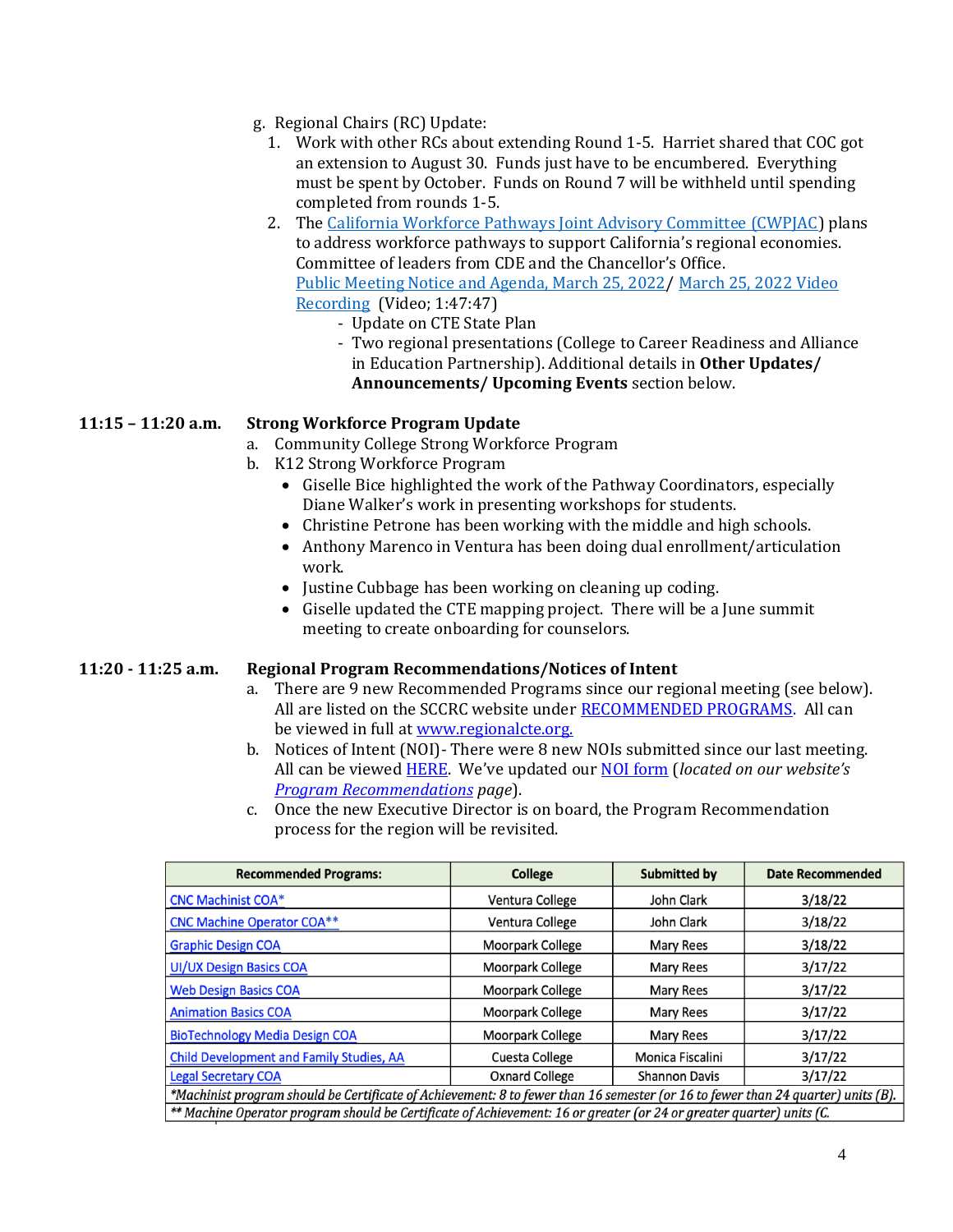- g. Regional Chairs (RC) Update:
	- 1. Work with other RCs about extending Round 1-5. Harriet shared that COC got an extension to August 30. Funds just have to be encumbered. Everything must be spent by October. Funds on Round 7 will be withheld until spending completed from rounds 1-5.
	- 2. The [California Workforce Pathways Joint Advisory Committee \(CWPJAC\)](https://www.cde.ca.gov/ci/ct/gi/workpathjac.asp) plans to address workforce pathways to support California's regional economies. Committee of leaders from CDE and the Chancellor's Office. [Public Meeting Notice and Agenda, March 25, 2022/](https://www.cde.ca.gov/ci/ct/gi/agendamarch2022.asp) [March 25, 2022 Video](https://www.youtube.com/watch?list=PLgIRGe0-q7SatdvaNzOSSRDVX3NwRIhv3&v=GPX6DL9etgk)  [Recording \(Video; 1:47:47\)](https://www.youtube.com/watch?list=PLgIRGe0-q7SatdvaNzOSSRDVX3NwRIhv3&v=GPX6DL9etgk)
		- Update on CTE State Plan
			- Two regional presentations (College to Career Readiness and Alliance in Education Partnership). Additional details in **Other Updates/ Announcements/ Upcoming Events** section below.

#### **11:15 – 11:20 a.m. Strong Workforce Program Update**

- a. Community College Strong Workforce Program
- b. K12 Strong Workforce Program
	- Giselle Bice highlighted the work of the Pathway Coordinators, especially Diane Walker's work in presenting workshops for students.
	- Christine Petrone has been working with the middle and high schools.
	- Anthony Marenco in Ventura has been doing dual enrollment/articulation work.
	- Justine Cubbage has been working on cleaning up coding.
	- Giselle updated the CTE mapping project. There will be a June summit meeting to create onboarding for counselors.

#### **11:20 - 11:25 a.m. Regional Program Recommendations/Notices of Intent**

- a. There are 9 new Recommended Programs since our regional meeting (see below). All are listed on the SCCRC website under **RECOMMENDED PROGRAMS**. All can be viewed in full a[t www.regionalcte.org.](http://www.regionalcte.org/)
- b. Notices of Intent (NOI)- There were 8 new NOIs submitted since our last meeting. All can be viewed [HERE.](https://docs.google.com/spreadsheets/d/1pIPRznh_q6dRYsZNs0ZgAMNH4fUboogeWdkJ06D5wBI/edit?usp=sharing)We've updated our [NOI form](https://docs.google.com/forms/d/e/1FAIpQLSfcBnGn4yWkZxscCDkZ48Xv2yPtxQokiIpLDdyMxz9yJCu4ew/viewform?usp=sf_link) (*located on our website's [Program Recommendations](https://sccrcolleges.org/program-recommendations/submission-process/) page*).
- c. Once the new Executive Director is on board, the Program Recommendation process for the region will be revisited.

| <b>Recommended Programs:</b>                                                                                                     | <b>College</b>          | <b>Submitted by</b>  | <b>Date Recommended</b> |  |  |  |
|----------------------------------------------------------------------------------------------------------------------------------|-------------------------|----------------------|-------------------------|--|--|--|
| <b>CNC Machinist COA*</b>                                                                                                        | Ventura College         | John Clark           | 3/18/22                 |  |  |  |
| <b>CNC Machine Operator COA**</b>                                                                                                | Ventura College         | John Clark           | 3/18/22                 |  |  |  |
| <b>Graphic Design COA</b>                                                                                                        | <b>Moorpark College</b> | <b>Mary Rees</b>     | 3/18/22                 |  |  |  |
| <b>UI/UX Design Basics COA</b>                                                                                                   | Moorpark College        | Mary Rees            | 3/17/22                 |  |  |  |
| <b>Web Design Basics COA</b>                                                                                                     | Moorpark College        | Mary Rees            | 3/17/22                 |  |  |  |
| <b>Animation Basics COA</b>                                                                                                      | <b>Moorpark College</b> | Mary Rees            | 3/17/22                 |  |  |  |
| <b>BioTechnology Media Design COA</b>                                                                                            | Moorpark College        | <b>Mary Rees</b>     | 3/17/22                 |  |  |  |
| <b>Child Development and Family Studies, AA</b>                                                                                  | Cuesta College          | Monica Fiscalini     | 3/17/22                 |  |  |  |
| <b>Legal Secretary COA</b>                                                                                                       | <b>Oxnard College</b>   | <b>Shannon Davis</b> | 3/17/22                 |  |  |  |
| *Machinist program should be Certificate of Achievement: 8 to fewer than 16 semester (or 16 to fewer than 24 quarter) units (B). |                         |                      |                         |  |  |  |
| ** Machine Operator program should be Certificate of Achievement: 16 or greater (or 24 or greater quarter) units (C.             |                         |                      |                         |  |  |  |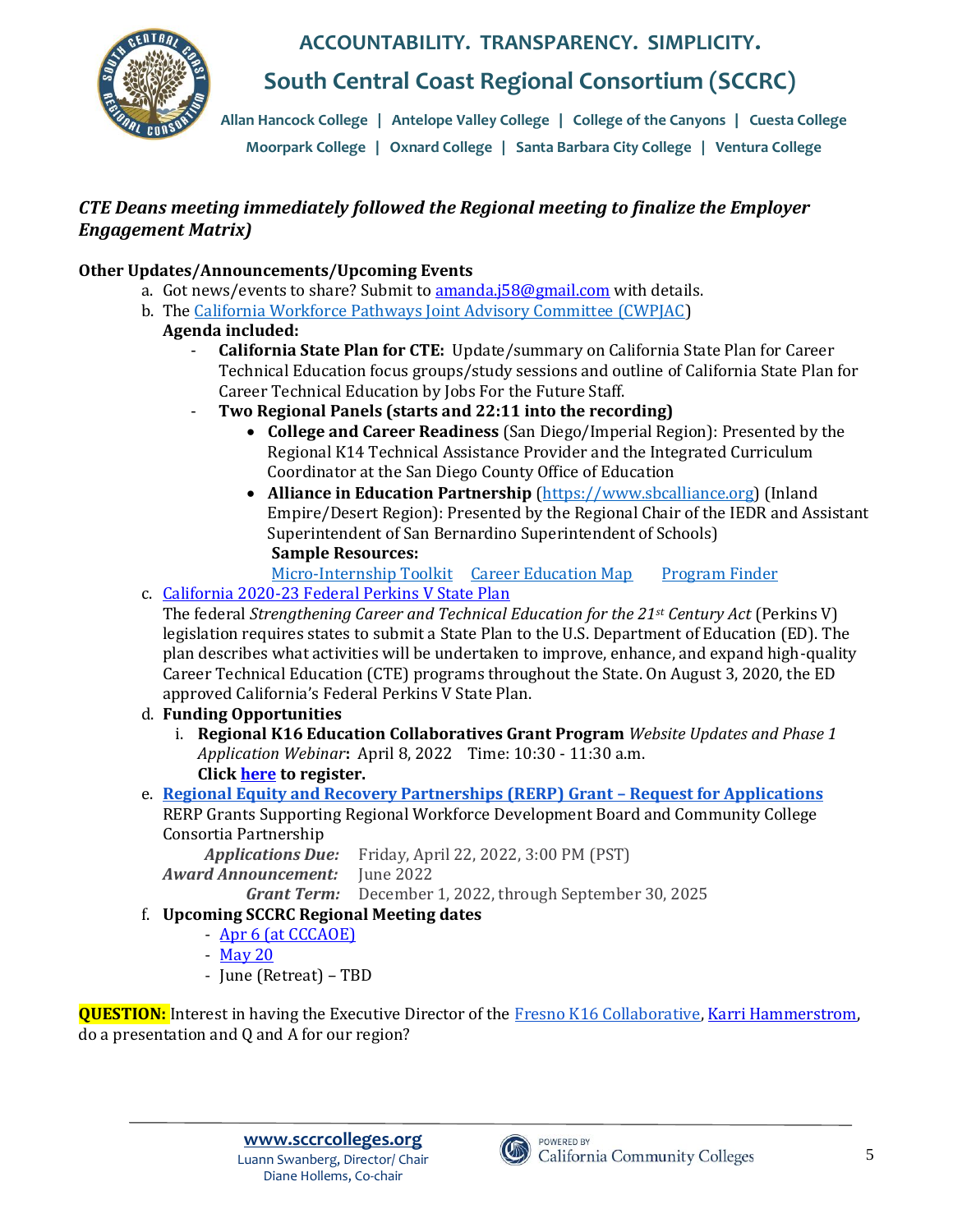

**South Central Coast Regional Consortium (SCCRC)**

**Allan Hancock College** | **Antelope Valley College** | **College of the Canyons** | **Cuesta College Moorpark College** | **Oxnard College** | **Santa Barbara City College** | **Ventura College**

#### **• Santa Barbara City College**  *CTE Deans meeting immediately followed the Regional meeting to finalize the Employer Engagement Matrix)*

### **Other Updates/Announcements/Upcoming Events**

- a. Got news/events to share? Submit t[o amanda.j58@gmail.com](mailto:amanda.j58@gmail.com) with details.
- b. Th[e](https://www.cde.ca.gov/ci/ct/gi/workpathjac.asp) [California Workforce Pathways Joint Advisory Committee \(CWPJAC\)](https://www.cde.ca.gov/ci/ct/gi/workpathjac.asp)
	- **Agenda included:**
		- **California State Plan for CTE:** Update/summary on California State Plan for Career Technical Education focus groups/study sessions and outline of California State Plan for Career Technical Education by Jobs For the Future Staff.
		- **Two Regional Panels (starts and 22:11 into the recording)**
			- **College and Career Readiness** (San Diego/Imperial Region): Presented by the Regional K14 Technical Assistance Provider and the Integrated Curriculum Coordinator at the San Diego County Office of Education
			- **Alliance in Education Partnership** [\(https://www.sbcalliance.org\)](https://www.sbcalliance.org/) (Inland Empire/Desert Region): Presented by the Regional Chair of the IEDR and Assistant Superintendent of San Bernardino Superintendent of Schools) **Sample Resources:**
				- [Micro-Internship Toolkit](https://www.sbcalliance.org/apps/pages/index.jsp?uREC_ID=1924871&type=d&pREC_ID=2098556) [Career Education Map](https://www.sbcalliance.org/apps/pages/index.jsp?uREC_ID=2245518&type=d&pREC_ID=2202995) [Program Finder](https://programfinder.com/)
- c. [California 2020-23 Federal Perkins V State Plan](https://1gz6c0efazm2o5698tl4pd5c-wpengine.netdna-ssl.com/wp-content/uploads/2021/12/perkinsstateplan2020-23-2.pdf)

The federal *Strengthening Career and Technical Education for the 21st Century Act* (Perkins V) legislation requires states to submit a State Plan to the U.S. Department of Education (ED). The plan describes what activities will be undertaken to improve, enhance, and expand high-quality Career Technical Education (CTE) programs throughout the State. On August 3, 2020, the ED approved California's Federal Perkins V State Plan.

- d. **Funding Opportunities**
	- i. **Regional K16 Education Collaboratives Grant Program** *Website Updates and Phase 1 Application Webinar***:** April 8, 2022 Time: 10:30 - 11:30 a.m. **Clic[k here](https://k16regionaleducationcollaboratives.cmail20.com/t/j-l-zhtujhd-drhhkldrud-j/) to register.**
- e. **[Regional Equity and Recovery Partnerships \(RERP\) Grant](https://cwdb.ca.gov/regional-equity-and-recovery-partnerships-grant-request-for-applications/) – Request for Applications** RERP Grants Supporting Regional Workforce Development Board and Community College

Consortia Partnership

 *Applications Due:* Friday, April 22, 2022, 3:00 PM (PST) *Award Announcement:* June 2022  *Grant Term:* December 1, 2022, through September 30, 2025

- f. **Upcoming SCCRC Regional Meeting dates**
	- [Apr 6 \(at CCCAOE\)](https://sccrcolleges.org/event/sccrc-regional-meeting-at-cccaoe-tbd/)
	- [May 20](https://sccrcolleges.org/event/sccrc-regional-meeting-6/)
	- June (Retreat) TBD

**QUESTION:** Interest in having the Executive Director of the [Fresno K16 Collaborative,](https://www.fresnohigheredforall.org/) [Karri Hammerstrom,](mailto:khammerstrom@mail.fresnostate.edu) do a presentation and Q and A for our region?

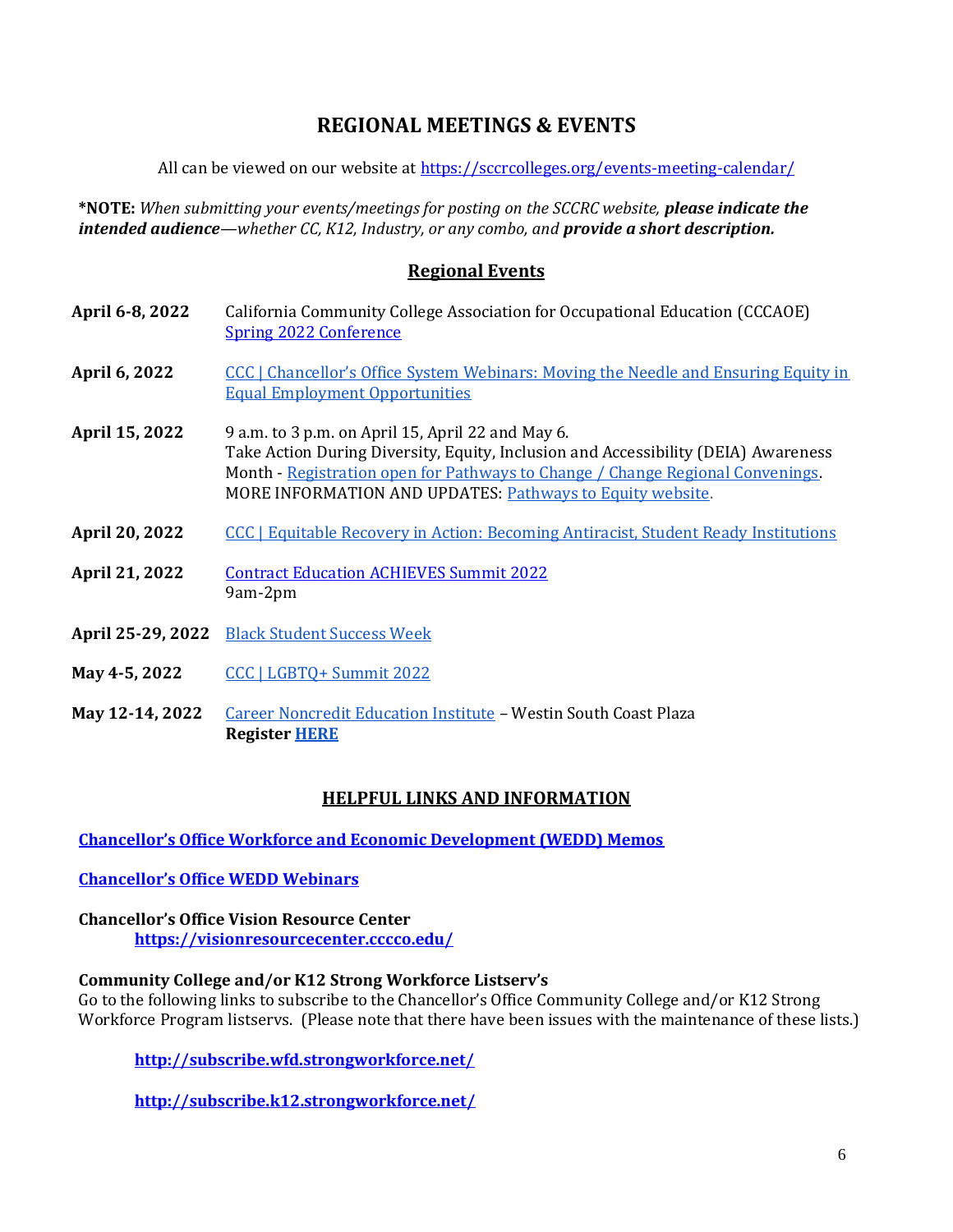### **REGIONAL MEETINGS & EVENTS**

All can be viewed on our website at<https://sccrcolleges.org/events-meeting-calendar/>

**\*NOTE:** *When submitting your events/meetings for posting on the SCCRC website, please indicate the intended audience—whether CC, K12, Industry, or any combo, and provide a short description.* 

#### **Regional Events**

- **April 6-8, 2022** California Community College Association for Occupational Education (CCCAOE) [Spring 2022 Conference](https://cccaoe.org/event/spring-2022-conference/)
- **April 6, 2022** CCC | Chancellor's Office System Webinars: Moving the Needle and Ensuring Equity in [Equal Employment Opportunities](https://vrccdn.cccco.edu/vrccdnpublic/email-campaigns/link-follows.html?&cn=Vision+in+Action+PDE&cs=VIAPDE+P2EChange+3%2F24%2F22&el=CO+System+Webinar&red%7Crect=https%3A%2F%2Fcccconfer.zoom.us%2Fwebinar%2Fregister%2FWN_ZyL5NL5XT_aW0XrPS6UicA)
- **April 15, 2022** 9 a.m. to 3 p.m. on April 15, April 22 and May 6. Take Action During Diversity, Equity, Inclusion and Accessibility (DEIA) Awareness Month - [Registration open for Pathways to Change / Change Regional Convenings.](https://vrccdn.cccco.edu/vrccdnpublic/email-campaigns/link-follows.html?&cn=Vision+in+Action+PDE&cs=VIAPDE+P2EChange+3%2F24%2F22&el=P2E+Registration&red%7Crect=https%3A%2F%2Fcaliforniacommunitycolleges.cventevents.com%2Fevent%2F829a9bdf-ee90-41cf-96ec-36867d154fec%2Fsummary%3FRefId%3DP2EChang) MORE INFORMATION AND UPDATES: [Pathways to Equity website.](https://vrccdn.cccco.edu/vrccdnpublic/email-campaigns/link-follows.html?&cn=Vision+in+Action+PDE&cs=VIAPDE+P2EChange+3%2F24%2F22&el=Pathways+to+Equity+website&red%7Crect=http%3A%2F%2Fwww.cccpathwaystoequity.com)
- **April 20, 2022** [CCC | Equitable Recovery in Action: Becoming Antiracist, Student Ready Institutions](https://vrccdn.cccco.edu/vrccdnpublic/email-campaigns/link-follows.html?&cn=Vision+in+Action+PDE&cs=VIAPDE+P2EChange+3%2F24%2F22&el=Equitable+Recovery&red%7Crect=https%3A%2F%2Fcccconfer.zoom.us%2Fwebinar%2Fregister%2FWN_8ovFHAKWTxa1Ku7JJxGp8Q)
- **April 21, 2022** [Contract Education ACHIEVES Summit 2022](https://1gz6c0efazm2o5698tl4pd5c-wpengine.netdna-ssl.com/wp-content/uploads/2021/12/Save-the-Date-CE-Summit-2022.docx) 9am-2pm
- **April 25-29, 2022** [Black Student Success Week](https://vrccdn.cccco.edu/vrccdnpublic/email-campaigns/link-follows.html?&cn=Vision+in+Action+PDE&cs=VIAPDE+P2EChange+3%2F24%2F22&el=Black+Student+Success+Week&red%7Crect=https%3A%2F%2Fwww.sdccd.edu%2Fabout%2Fdepartments-and-offices%2Fcommunications-and-public-relations%2Fnewscenter%2Farticles%2F2022%2Fblack-student-success-week-event.aspx)
- **May 4-5, 2022** [CCC | LGBTQ+ Summit 2022](https://vrccdn.cccco.edu/vrccdnpublic/email-campaigns/link-follows.html?&cn=Vision+in+Action+PDE&cs=VIAPDE+P2EChange+3%2F24%2F22&el=LGBTQ+Summit+2022&red%7Crect=https%3A%2F%2Fcccqsummit.blogspot.com%2F)
- **May 12-14, 2022** [Career Noncredit Education Institute](https://r20.rs6.net/tn.jsp?f=001fQ40aa5uS8iAAPnb5voRu2xAw18hDdT1far5NE68bGAbUV8W9cLcY9D9ROoEIFRfwqMeT41mGBdj1BdUyHHAInhU1Er87A5nrX3MbXZojFX1DLwMkU4a0d5Iii_MnG6_YaXuGT5Y5t3-hIz-YSZYcPb39h9z9-WUR68VeUvRzHZ0n3xYRQjLu5tOMCX-wcbjVLOtef3nDl96B7vzYViHKqa42VXJY9i8HXX3rEU3IZUZsmfyLKcrKw==&c=zC3-L7tzfDZZVuspS0R81r9Wz2SKqW-o3oC2ESPKqRGnIJ0thG6xgQ==&ch=jH4sNCV5WXHFdkhUyR34qk18jSsVhrCpf90UvOl-rjfeSVoYoB3DwQ==) Westin South Coast Plaza **Registe[r HERE](https://r20.rs6.net/tn.jsp?f=001fQ40aa5uS8iAAPnb5voRu2xAw18hDdT1far5NE68bGAbUV8W9cLcY9D9ROoEIFRfCCNqaj04h24gmVwo9eat-uwlJ7YcuM7MFOMzZNgPDlBre4KIMlE8MgCQzOaGIbwZJTC-KoO1UwLyMeC79ZBldsBRqnKv8b2DD0nZN5n8s-7s40i405MOD4Jg8YtP4R19SuOJ_wU3F57Sf939f71bf14mt2kBmVO2p5eXZBKP099z2J14HctqJItq2Y2HVCmbNbQUHKiFZqhq5UqV1BgDbvRKIRgMlzQW_2Dj2z9t8TMQsjn6SAZHRx7EwNqwg51viePAfcuBYG1ILuTxvz45FdPUETdXOimvsei29u5ZguE4vVlXx7mn66wxGR6sGEITKxBMOLzOt2Cgou56RAygn6pupiMt9u7RAifeOVBdgDdbhShPKNAAMSpKkMPcQPR9cRIE8VJMNBWam6P9wMCqYUhlEVyVf6i0paONbEOtBrkJ3gsOxT4y0LZVbao1YsooqArWDyQhrWQtEJRAu3AxAeKhX75jsoQk78VfFU1vHCl6-wcyktrh7zWTl7w2PRIkT0mEDh3RXaqsYZCi2wB8GQ==&c=zC3-L7tzfDZZVuspS0R81r9Wz2SKqW-o3oC2ESPKqRGnIJ0thG6xgQ==&ch=jH4sNCV5WXHFdkhUyR34qk18jSsVhrCpf90UvOl-rjfeSVoYoB3DwQ==)**

#### **HELPFUL LINKS AND INFORMATION**

**[Chancellor's Office Workforce and Economic Development \(WEDD\) Memos](https://www.cccco.edu/About-Us/Chancellors-Office/Divisions/Workforce-and-Economic-Development/WEDD-Memos)**

#### **[Chancellor's Office WEDD Webinars](https://www.cccco.edu/About-Us/Chancellors-Office/Divisions/Workforce-and-Economic-Development/WEDD-Webinars)**

#### **Chancellor's Office Vision Resource Center <https://visionresourcecenter.cccco.edu/>**

#### **Community College and/or K12 Strong Workforce Listserv's**

Go to the following links to subscribe to the Chancellor's Office Community College and/or K12 Strong Workforce Program listservs. (Please note that there have been issues with the maintenance of these lists.)

**<http://subscribe.wfd.strongworkforce.net/>**

**<http://subscribe.k12.strongworkforce.net/>**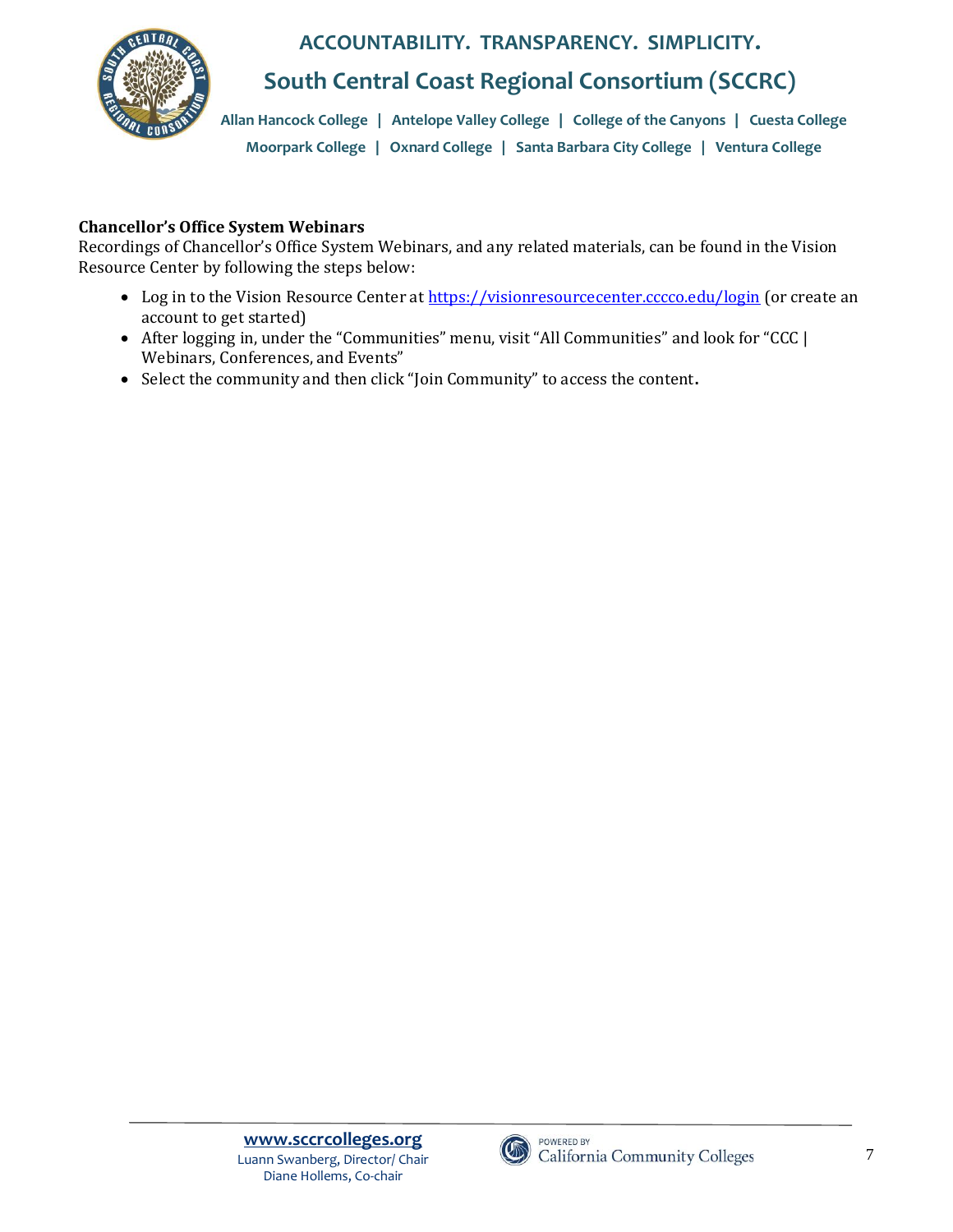

## **South Central Coast Regional Consortium (SCCRC)**

**Allan Hancock College** | **Antelope Valley College** | **College of the Canyons** | **Cuesta College Moorpark College** | **Oxnard College** | **Santa Barbara City College** | **Ventura College**

### **Chancellor's Office System Webinars**

Recordings of Chancellor's Office System Webinars, and any related materials, can be found in the Vision Resource Center by following the steps below:

- Log in to the Vision Resource Center at<https://visionresourcecenter.cccco.edu/login> (or create an account to get started)
- After logging in, under the "Communities" menu, visit "All Communities" and look for "CCC | Webinars, Conferences, and Events"
- Select the community and then click "Join Community" to access the content**.**

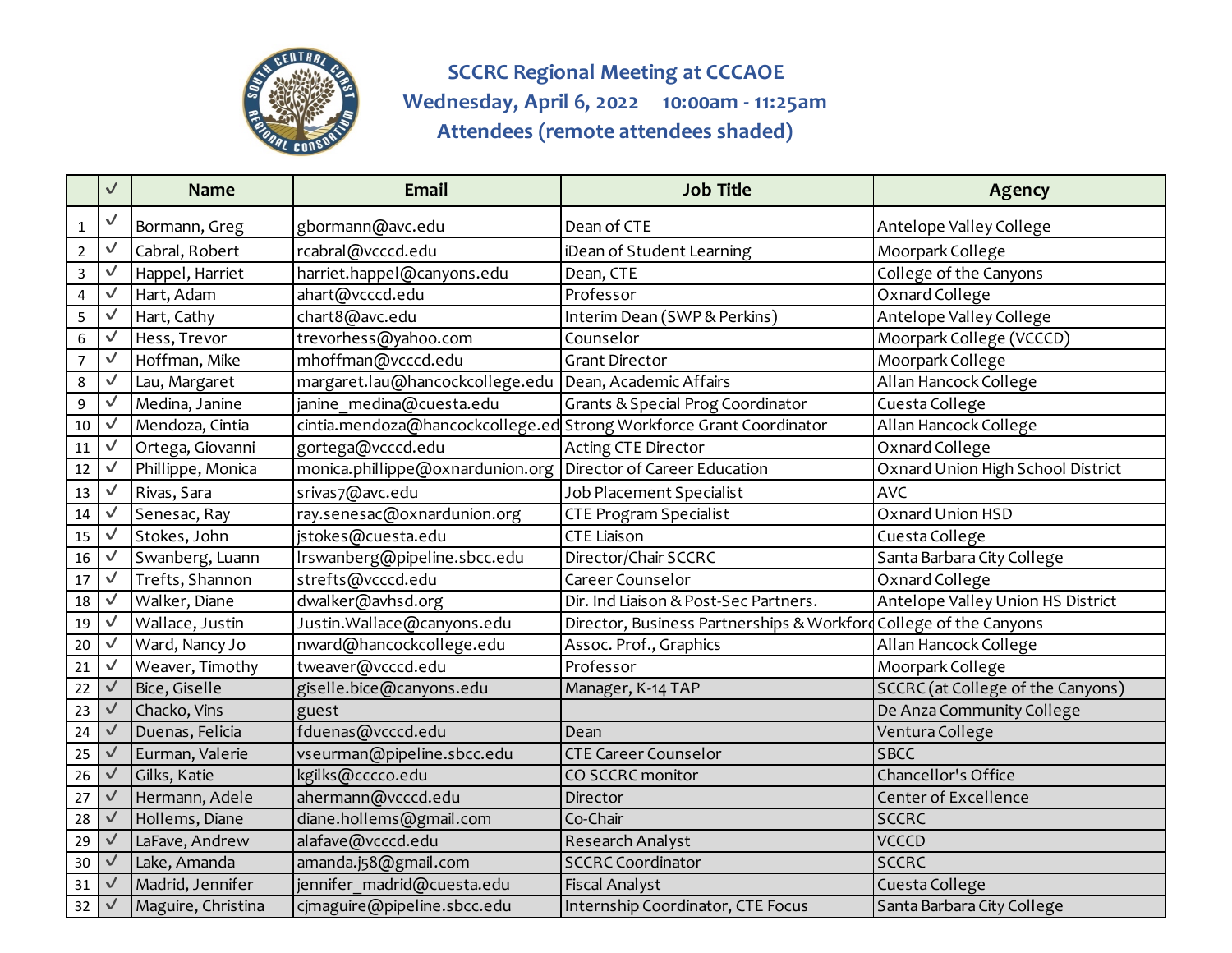

**SCCRC Regional Meeting at CCCAOE Wednesday, April 6, 2022 10:00am - 11:25am Attendees (remote attendees shaded)**

|                  | $\checkmark$ | <b>Name</b>        | <b>Email</b>                     | <b>Job Title</b>                                                    | <b>Agency</b>                     |
|------------------|--------------|--------------------|----------------------------------|---------------------------------------------------------------------|-----------------------------------|
| $\mathbf{1}$     |              | Bormann, Greg      | gbormann@avc.edu                 | Dean of CTE                                                         | Antelope Valley College           |
| $\overline{2}$   | $\checkmark$ | Cabral, Robert     | rcabral@vcccd.edu                | iDean of Student Learning                                           | Moorpark College                  |
| $\mathbf{3}$     | $\checkmark$ | Happel, Harriet    | harriet.happel@canyons.edu       | Dean, CTE                                                           | College of the Canyons            |
| $\overline{4}$   | $\checkmark$ | Hart, Adam         | ahart@vcccd.edu                  | Professor                                                           | Oxnard College                    |
| 5                | $\checkmark$ | Hart, Cathy        | chart8@avc.edu                   | Interim Dean (SWP & Perkins)                                        | Antelope Valley College           |
| $\boldsymbol{6}$ | $\checkmark$ | Hess, Trevor       | trevorhess@yahoo.com             | Counselor                                                           | Moorpark College (VCCCD)          |
| $\overline{7}$   | $\checkmark$ | Hoffman, Mike      | mhoffman@vcccd.edu               | <b>Grant Director</b>                                               | Moorpark College                  |
| 8                | $\checkmark$ | Lau, Margaret      | margaret.lau@hancockcollege.edu  | Dean, Academic Affairs                                              | Allan Hancock College             |
| 9                | $\checkmark$ | Medina, Janine     | janine medina@cuesta.edu         | <b>Grants &amp; Special Prog Coordinator</b>                        | Cuesta College                    |
| $10\,$           | $\checkmark$ | Mendoza, Cintia    |                                  | cintia.mendoza@hancockcollege.ed Strong Workforce Grant Coordinator | Allan Hancock College             |
| 11               | $\checkmark$ | Ortega, Giovanni   | gortega@vcccd.edu                | Acting CTE Director                                                 | Oxnard College                    |
| 12               |              | Phillippe, Monica  | monica.phillippe@oxnardunion.org | Director of Career Education                                        | Oxnard Union High School District |
| 13               | $\checkmark$ | Rivas, Sara        | srivas7@avc.edu                  | Job Placement Specialist                                            | <b>AVC</b>                        |
| 14               | $\checkmark$ | Senesac, Ray       | ray.senesac@oxnardunion.org      | <b>CTE Program Specialist</b>                                       | Oxnard Union HSD                  |
| 15               | $\checkmark$ | Stokes, John       | jstokes@cuesta.edu               | <b>CTE Liaison</b>                                                  | Cuesta College                    |
| 16               | $\checkmark$ | Swanberg, Luann    | Irswanberg@pipeline.sbcc.edu     | Director/Chair SCCRC                                                | Santa Barbara City College        |
| 17               | $\checkmark$ | Trefts, Shannon    | strefts@vcccd.edu                | Career Counselor                                                    | Oxnard College                    |
| 18               | $\checkmark$ | Walker, Diane      | dwalker@avhsd.org                | Dir. Ind Liaison & Post-Sec Partners.                               | Antelope Valley Union HS District |
| 19               | $\checkmark$ | Wallace, Justin    | Justin.Wallace@canyons.edu       | Director, Business Partnerships & Workford College of the Canyons   |                                   |
| 20               | $\checkmark$ | Ward, Nancy Jo     | nward@hancockcollege.edu         | Assoc. Prof., Graphics                                              | Allan Hancock College             |
| 21               | ✓            | Weaver, Timothy    | tweaver@vcccd.edu                | Professor                                                           | Moorpark College                  |
| 22               | $\checkmark$ | Bice, Giselle      | giselle.bice@canyons.edu         | Manager, K-14 TAP                                                   | SCCRC (at College of the Canyons) |
| 23               | $\checkmark$ | Chacko, Vins       | guest                            |                                                                     | De Anza Community College         |
| 24               | $\checkmark$ | Duenas, Felicia    | fduenas@vcccd.edu                | Dean                                                                | Ventura College                   |
| 25               | $\checkmark$ | Eurman, Valerie    | vseurman@pipeline.sbcc.edu       | <b>CTE Career Counselor</b>                                         | <b>SBCC</b>                       |
| 26               | $\checkmark$ | Gilks, Katie       | kgilks@cccco.edu                 | CO SCCRC monitor                                                    | Chancellor's Office               |
| 27               | $\checkmark$ | Hermann, Adele     | ahermann@vcccd.edu               | Director                                                            | Center of Excellence              |
| 28               | $\checkmark$ | Hollems, Diane     | diane.hollems@gmail.com          | Co-Chair                                                            | <b>SCCRC</b>                      |
| 29               | $\checkmark$ | LaFave, Andrew     | alafave@vcccd.edu                | Research Analyst                                                    | <b>VCCCD</b>                      |
| 30               | $\checkmark$ | Lake, Amanda       | amanda.j58@gmail.com             | <b>SCCRC Coordinator</b>                                            | <b>SCCRC</b>                      |
| 31               | $\checkmark$ | Madrid, Jennifer   | jennifer madrid@cuesta.edu       | Fiscal Analyst                                                      | Cuesta College                    |
| 32               | $\checkmark$ | Maguire, Christina | cjmaguire@pipeline.sbcc.edu      | Internship Coordinator, CTE Focus                                   | Santa Barbara City College        |